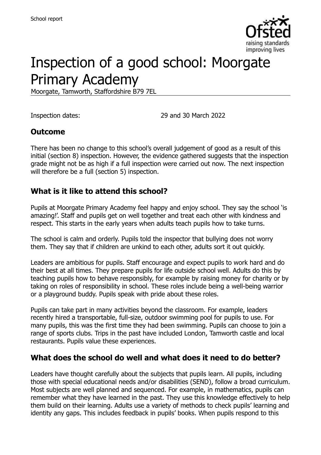

# Inspection of a good school: Moorgate Primary Academy

Moorgate, Tamworth, Staffordshire B79 7EL

Inspection dates: 29 and 30 March 2022

### **Outcome**

There has been no change to this school's overall judgement of good as a result of this initial (section 8) inspection. However, the evidence gathered suggests that the inspection grade might not be as high if a full inspection were carried out now. The next inspection will therefore be a full (section 5) inspection.

### **What is it like to attend this school?**

Pupils at Moorgate Primary Academy feel happy and enjoy school. They say the school 'is amazing!'. Staff and pupils get on well together and treat each other with kindness and respect. This starts in the early years when adults teach pupils how to take turns.

The school is calm and orderly. Pupils told the inspector that bullying does not worry them. They say that if children are unkind to each other, adults sort it out quickly.

Leaders are ambitious for pupils. Staff encourage and expect pupils to work hard and do their best at all times. They prepare pupils for life outside school well. Adults do this by teaching pupils how to behave responsibly, for example by raising money for charity or by taking on roles of responsibility in school. These roles include being a well-being warrior or a playground buddy. Pupils speak with pride about these roles.

Pupils can take part in many activities beyond the classroom. For example, leaders recently hired a transportable, full-size, outdoor swimming pool for pupils to use. For many pupils, this was the first time they had been swimming. Pupils can choose to join a range of sports clubs. Trips in the past have included London, Tamworth castle and local restaurants. Pupils value these experiences.

### **What does the school do well and what does it need to do better?**

Leaders have thought carefully about the subjects that pupils learn. All pupils, including those with special educational needs and/or disabilities (SEND), follow a broad curriculum. Most subjects are well planned and sequenced. For example, in mathematics, pupils can remember what they have learned in the past. They use this knowledge effectively to help them build on their learning. Adults use a variety of methods to check pupils' learning and identity any gaps. This includes feedback in pupils' books. When pupils respond to this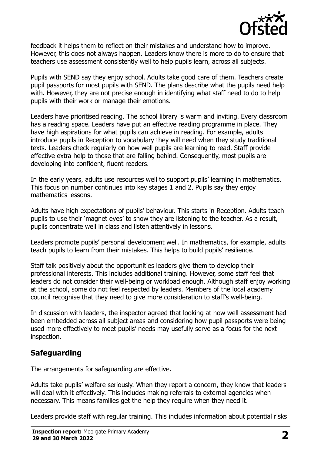

feedback it helps them to reflect on their mistakes and understand how to improve. However, this does not always happen. Leaders know there is more to do to ensure that teachers use assessment consistently well to help pupils learn, across all subjects.

Pupils with SEND say they enjoy school. Adults take good care of them. Teachers create pupil passports for most pupils with SEND. The plans describe what the pupils need help with. However, they are not precise enough in identifying what staff need to do to help pupils with their work or manage their emotions.

Leaders have prioritised reading. The school library is warm and inviting. Every classroom has a reading space. Leaders have put an effective reading programme in place. They have high aspirations for what pupils can achieve in reading. For example, adults introduce pupils in Reception to vocabulary they will need when they study traditional texts. Leaders check regularly on how well pupils are learning to read. Staff provide effective extra help to those that are falling behind. Consequently, most pupils are developing into confident, fluent readers.

In the early years, adults use resources well to support pupils' learning in mathematics. This focus on number continues into key stages 1 and 2. Pupils say they enjoy mathematics lessons.

Adults have high expectations of pupils' behaviour. This starts in Reception. Adults teach pupils to use their 'magnet eyes' to show they are listening to the teacher. As a result, pupils concentrate well in class and listen attentively in lessons.

Leaders promote pupils' personal development well. In mathematics, for example, adults teach pupils to learn from their mistakes. This helps to build pupils' resilience.

Staff talk positively about the opportunities leaders give them to develop their professional interests. This includes additional training. However, some staff feel that leaders do not consider their well-being or workload enough. Although staff enjoy working at the school, some do not feel respected by leaders. Members of the local academy council recognise that they need to give more consideration to staff's well-being.

In discussion with leaders, the inspector agreed that looking at how well assessment had been embedded across all subject areas and considering how pupil passports were being used more effectively to meet pupils' needs may usefully serve as a focus for the next inspection.

# **Safeguarding**

The arrangements for safeguarding are effective.

Adults take pupils' welfare seriously. When they report a concern, they know that leaders will deal with it effectively. This includes making referrals to external agencies when necessary. This means families get the help they require when they need it.

Leaders provide staff with regular training. This includes information about potential risks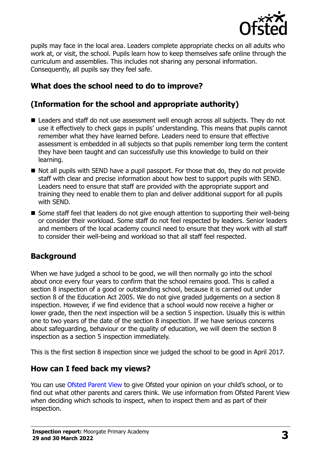

pupils may face in the local area. Leaders complete appropriate checks on all adults who work at, or visit, the school. Pupils learn how to keep themselves safe online through the curriculum and assemblies. This includes not sharing any personal information. Consequently, all pupils say they feel safe.

# **What does the school need to do to improve?**

# **(Information for the school and appropriate authority)**

- Leaders and staff do not use assessment well enough across all subiects. They do not use it effectively to check gaps in pupils' understanding. This means that pupils cannot remember what they have learned before. Leaders need to ensure that effective assessment is embedded in all subjects so that pupils remember long term the content they have been taught and can successfully use this knowledge to build on their learning.
- Not all pupils with SEND have a pupil passport. For those that do, they do not provide staff with clear and precise information about how best to support pupils with SEND. Leaders need to ensure that staff are provided with the appropriate support and training they need to enable them to plan and deliver additional support for all pupils with SEND.
- Some staff feel that leaders do not give enough attention to supporting their well-being or consider their workload. Some staff do not feel respected by leaders. Senior leaders and members of the local academy council need to ensure that they work with all staff to consider their well-being and workload so that all staff feel respected.

# **Background**

When we have judged a school to be good, we will then normally go into the school about once every four years to confirm that the school remains good. This is called a section 8 inspection of a good or outstanding school, because it is carried out under section 8 of the Education Act 2005. We do not give graded judgements on a section 8 inspection. However, if we find evidence that a school would now receive a higher or lower grade, then the next inspection will be a section 5 inspection. Usually this is within one to two years of the date of the section 8 inspection. If we have serious concerns about safeguarding, behaviour or the quality of education, we will deem the section 8 inspection as a section 5 inspection immediately.

This is the first section 8 inspection since we judged the school to be good in April 2017.

### **How can I feed back my views?**

You can use [Ofsted Parent View](https://parentview.ofsted.gov.uk/) to give Ofsted your opinion on your child's school, or to find out what other parents and carers think. We use information from Ofsted Parent View when deciding which schools to inspect, when to inspect them and as part of their inspection.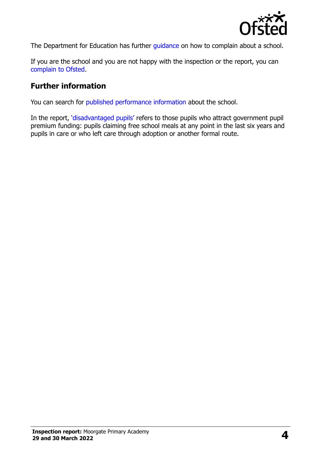

The Department for Education has further quidance on how to complain about a school.

If you are the school and you are not happy with the inspection or the report, you can [complain to Ofsted.](https://www.gov.uk/complain-ofsted-report)

#### **Further information**

You can search for [published performance information](http://www.compare-school-performance.service.gov.uk/) about the school.

In the report, '[disadvantaged pupils](http://www.gov.uk/guidance/pupil-premium-information-for-schools-and-alternative-provision-settings)' refers to those pupils who attract government pupil premium funding: pupils claiming free school meals at any point in the last six years and pupils in care or who left care through adoption or another formal route.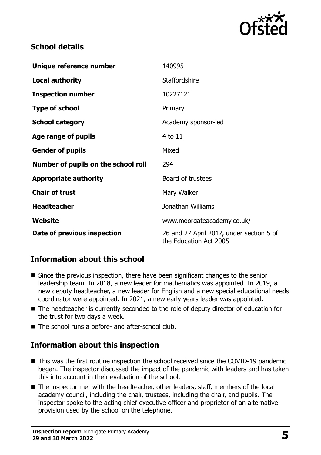

## **School details**

| Unique reference number             | 140995                                                             |
|-------------------------------------|--------------------------------------------------------------------|
| <b>Local authority</b>              | <b>Staffordshire</b>                                               |
| <b>Inspection number</b>            | 10227121                                                           |
| <b>Type of school</b>               | Primary                                                            |
| <b>School category</b>              | Academy sponsor-led                                                |
| Age range of pupils                 | 4 to 11                                                            |
| <b>Gender of pupils</b>             | Mixed                                                              |
| Number of pupils on the school roll | 294                                                                |
| <b>Appropriate authority</b>        | Board of trustees                                                  |
| <b>Chair of trust</b>               | Mary Walker                                                        |
| <b>Headteacher</b>                  | Jonathan Williams                                                  |
| Website                             | www.moorgateacademy.co.uk/                                         |
| Date of previous inspection         | 26 and 27 April 2017, under section 5 of<br>the Education Act 2005 |

# **Information about this school**

- Since the previous inspection, there have been significant changes to the senior leadership team. In 2018, a new leader for mathematics was appointed. In 2019, a new deputy headteacher, a new leader for English and a new special educational needs coordinator were appointed. In 2021, a new early years leader was appointed.
- The headteacher is currently seconded to the role of deputy director of education for the trust for two days a week.
- The school runs a before- and after-school club.

### **Information about this inspection**

- This was the first routine inspection the school received since the COVID-19 pandemic began. The inspector discussed the impact of the pandemic with leaders and has taken this into account in their evaluation of the school.
- The inspector met with the headteacher, other leaders, staff, members of the local academy council, including the chair, trustees, including the chair, and pupils. The inspector spoke to the acting chief executive officer and proprietor of an alternative provision used by the school on the telephone.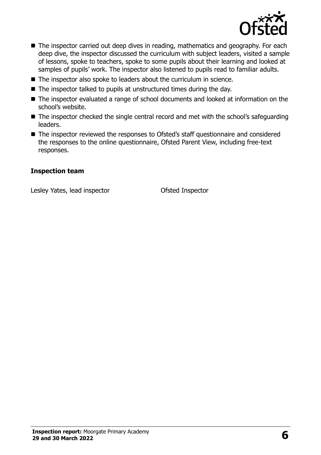

- The inspector carried out deep dives in reading, mathematics and geography. For each deep dive, the inspector discussed the curriculum with subject leaders, visited a sample of lessons, spoke to teachers, spoke to some pupils about their learning and looked at samples of pupils' work. The inspector also listened to pupils read to familiar adults.
- The inspector also spoke to leaders about the curriculum in science.
- The inspector talked to pupils at unstructured times during the day.
- The inspector evaluated a range of school documents and looked at information on the school's website.
- The inspector checked the single central record and met with the school's safeguarding leaders.
- The inspector reviewed the responses to Ofsted's staff questionnaire and considered the responses to the online questionnaire, Ofsted Parent View, including free-text responses.

#### **Inspection team**

Lesley Yates, lead inspector **Calculates** Ofsted Inspector